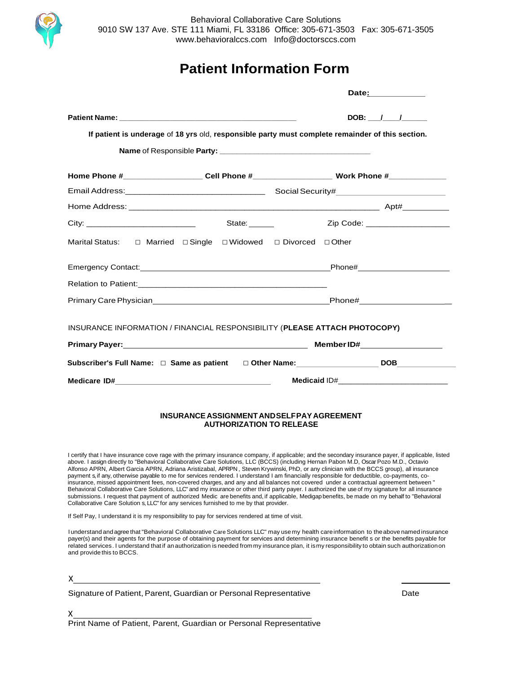

## **Patient Information Form**

|       |                                                                                                               | DOB: $/$ /                              |
|-------|---------------------------------------------------------------------------------------------------------------|-----------------------------------------|
|       | If patient is underage of 18 yrs old, responsible party must complete remainder of this section.              |                                         |
|       |                                                                                                               |                                         |
|       | Home Phone #_______________________Cell Phone #__________________________________ Work Phone #_______________ |                                         |
|       |                                                                                                               |                                         |
|       |                                                                                                               |                                         |
| City: | State: <u>________</u>                                                                                        | Zip Code: <u>______________________</u> |
|       |                                                                                                               |                                         |
|       |                                                                                                               |                                         |
|       |                                                                                                               |                                         |
|       |                                                                                                               |                                         |
|       | INSURANCE INFORMATION / FINANCIAL RESPONSIBILITY (PLEASE ATTACH PHOTOCOPY)                                    |                                         |
|       |                                                                                                               |                                         |
|       |                                                                                                               |                                         |
|       |                                                                                                               |                                         |

### **INSURANCEASSIGNMENTANDSELFPAYAGREEMENT AUTHORIZATION TO RELEASE**

I certify that I have insurance cove rage with the primary insurance company, if applicable; and the secondary insurance payer, if applicable, listed above. I assign directly to "Behavioral Collaborative Care Solutions, LLC (BCCS) (including Hernan Pabon M.D, Oscar Pozo M.D., Octavio Alfonso APRN, Albert Garcia APRN, Adriana Aristizabal, APRPN , Steven Krywinski, PhD, or any clinician with the BCCS group), all insurance payment s, if any, otherwise payable to me for services rendered. I understand I am financially responsible for deductible, co-payments, coinsurance, missed appointment fees, non-covered charges, and any and all balances not covered under a contractual agreement between " Behavioral Collaborative Care Solutions, LLC" and my insurance or other third party payer. I authorized the use of my signature for all insurance submissions. I request that payment of authorized Medic are benefits and, if applicable, Medigapbenefits, be made on my behalf to "Behavioral Collaborative Care Solution s, LLC" for any services furnished to me by that provider.

If Self Pay, I understand it is my responsibility to pay for services rendered at time of visit.

Iunderstand and agree that "Behavioral Collaborative CareSolutions LLC" may use my health careinformation to theabove named insurance payer(s) and their agents for the purpose of obtaining payment for services and determining insurance benefit s or the benefits payable for related services. I understand that if an authorization is needed frommy insurance plan, it ismy responsibility to obtain such authorizationon and provide this to BCCS.

x

x

Signature of Patient, Parent, Guardian or Personal Representative **Date** Date

Print Name of Patient, Parent, Guardian or Personal Representative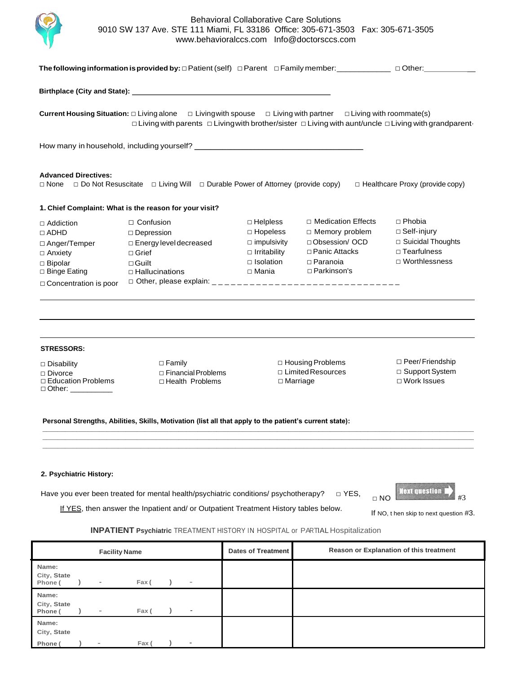

|                                                                                                                                                                                                                                                                         | The following information is provided by: $\Box$ Patient (self) $\Box$ Parent $\Box$ Family member: $\Box$ $\Box$ $\Box$ Other:       |                                                                                                                |                                                                                                                     |                                                                                                |  |  |  |  |  |
|-------------------------------------------------------------------------------------------------------------------------------------------------------------------------------------------------------------------------------------------------------------------------|---------------------------------------------------------------------------------------------------------------------------------------|----------------------------------------------------------------------------------------------------------------|---------------------------------------------------------------------------------------------------------------------|------------------------------------------------------------------------------------------------|--|--|--|--|--|
|                                                                                                                                                                                                                                                                         |                                                                                                                                       |                                                                                                                |                                                                                                                     |                                                                                                |  |  |  |  |  |
| <b>Current Housing Situation:</b> $\Box$ Living alone $\Box$ Living with spouse $\Box$ Living with partner $\Box$ Living with roommate(s)<br>$\Box$ Living with parents $\Box$ Living with brother/sister $\Box$ Living with aunt/uncle $\Box$ Living with grandparent- |                                                                                                                                       |                                                                                                                |                                                                                                                     |                                                                                                |  |  |  |  |  |
|                                                                                                                                                                                                                                                                         |                                                                                                                                       |                                                                                                                |                                                                                                                     |                                                                                                |  |  |  |  |  |
| <b>Advanced Directives:</b>                                                                                                                                                                                                                                             | $\Box$ None $\Box$ Do Not Resuscitate $\Box$ Living Will $\Box$ Durable Power of Attorney (provide copy)                              |                                                                                                                |                                                                                                                     | $\Box$ Healthcare Proxy (provide copy)                                                         |  |  |  |  |  |
|                                                                                                                                                                                                                                                                         | 1. Chief Complaint: What is the reason for your visit?                                                                                |                                                                                                                |                                                                                                                     |                                                                                                |  |  |  |  |  |
| $\Box$ Addiction<br>$\Box$ ADHD<br>□ Anger/Temper<br>$\Box$ Anxiety<br>$\Box$ Bipolar<br>□ Binge Eating<br>□ Concentration is poor                                                                                                                                      | $\Box$ Confusion<br>$\square$ Depression<br>$\square$ Energy level decreased<br>$\Box$ Grief<br>$\Box$ Guilt<br>$\Box$ Hallucinations | $\Box$ Helpless<br>$\Box$ Hopeless<br>$\Box$ impulsivity<br>$\Box$ Irritability<br>$\Box$ Isolation<br>□ Mania | □ Medication Effects<br>□ Memory problem<br>□ Obsession/ OCD<br>□ Panic Attacks<br>$\Box$ Paranoia<br>□ Parkinson's | $\Box$ Phobia<br>□ Self-injury<br>□ Suicidal Thoughts<br>□ Tearfulness<br>$\Box$ Worthlessness |  |  |  |  |  |
| <b>STRESSORS:</b>                                                                                                                                                                                                                                                       |                                                                                                                                       |                                                                                                                |                                                                                                                     |                                                                                                |  |  |  |  |  |
| $\square$ Disability<br>$\Box$ Divorce<br>□ Education Problems<br>□ Other: __________                                                                                                                                                                                   | $\Box$ Family<br>□ Financial Problems<br>□ Health Problems                                                                            | $\Box$ Marriage                                                                                                | $\Box$ Housing Problems<br>$\Box$ Limited Resources                                                                 | □ Peer/Friendship<br>□ Support System<br>$\Box$ Work Issues                                    |  |  |  |  |  |
|                                                                                                                                                                                                                                                                         | Personal Strengths, Abilities, Skills, Motivation (list all that apply to the patient's current state):                               |                                                                                                                |                                                                                                                     |                                                                                                |  |  |  |  |  |

### **2. Psychiatric History:**

Have you ever been treated for mental health/psychiatric conditions/ psychotherapy? □ YES,



If YES, then answer the Inpatient and/ or Outpatient Treatment History tables below.

If NO, t hen skip to next question #3.

### **INPATIENT Psychiatric** TREATMENT HISTORY IN HOSPITAL or PARTIAL Hospitalization

| <b>Facility Name</b>            |  |                          |       |  |                | Dates of Treatment | Reason or Explanation of this treatment |
|---------------------------------|--|--------------------------|-------|--|----------------|--------------------|-----------------------------------------|
| Name:<br>City, State<br>Phone ( |  | $\overline{\phantom{a}}$ | Fax ( |  | $\blacksquare$ |                    |                                         |
| Name:<br>City, State<br>Phone ( |  | $\blacksquare$           | Fax ( |  | $\sim$         |                    |                                         |
| Name:<br>City, State            |  |                          |       |  |                |                    |                                         |
| Phone (                         |  |                          | Fax ( |  | $\,$           |                    |                                         |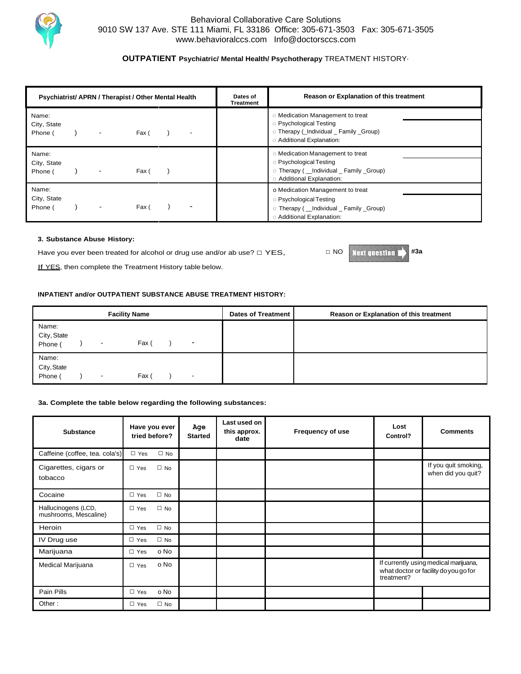

### **OUTPATIENT Psychiatric/ Mental Health/ Psychotherapy** TREATMENT HISTORY·

| Psychiatrist/ APRN / Therapist / Other Mental Health |  |                | Dates of<br>Treatment | Reason or Explanation of this treatment |                                                                                                                                                  |
|------------------------------------------------------|--|----------------|-----------------------|-----------------------------------------|--------------------------------------------------------------------------------------------------------------------------------------------------|
| Name:<br>City, State<br>Phone (                      |  | ٠              | Fax (                 |                                         | Medication Management to treat<br><b>Psychological Testing</b><br>O Therapy (_Individual _ Family _Group)<br><b>Additional Explanation:</b>      |
| Name:<br>City, State<br>Phone (                      |  | $\blacksquare$ | Fax (                 |                                         | Medication Management to treat<br><b>Psychological Testing</b><br>o Therapy ( Individual Family Group)<br><b>Additional Explanation:</b>         |
| Name:<br>City, State<br>Phone (                      |  | ۰              | Fax (                 |                                         | o Medication Management to treat<br><b>Psychological Testing</b><br>O Therapy ( __ Individual _ Family _Group)<br><b>Additional Explanation:</b> |

### **3. Substance Abuse History:**

Have you ever been treated for alcohol or drug use and/or ab use?  $\Box$  YES,

If YES, then complete the Treatment History table below.

#### **INPATIENT and/or OUTPATIENT SUBSTANCE ABUSE TREATMENT HISTORY:**

| <b>Facility Name</b>            |  |  |       |   | Dates of Treatment | Reason or Explanation of this treatment |
|---------------------------------|--|--|-------|---|--------------------|-----------------------------------------|
| Name:<br>City, State<br>Phone ( |  |  | Fax ( | ٠ |                    |                                         |
| Name:<br>City, State<br>Phone ( |  |  | Fax ( | ۰ |                    |                                         |

### **3a. Complete the table below regarding the following substances:**

| <b>Substance</b>                             |            | Have you ever<br>tried before? | Age<br><b>Started</b> | Last used on<br>this approx.<br>date | Frequency of use | Lost<br>Control?                                                                             | <b>Comments</b>                            |
|----------------------------------------------|------------|--------------------------------|-----------------------|--------------------------------------|------------------|----------------------------------------------------------------------------------------------|--------------------------------------------|
| Caffeine (coffee, tea. cola's)               | $\Box$ Yes | $\Box$ No                      |                       |                                      |                  |                                                                                              |                                            |
| Cigarettes, cigars or<br>tobacco             | $\Box$ Yes | $\square$ No                   |                       |                                      |                  |                                                                                              | If you quit smoking,<br>when did you quit? |
| Cocaine                                      | $\Box$ Yes | $\Box$ No                      |                       |                                      |                  |                                                                                              |                                            |
| Hallucinogens (LCD,<br>mushrooms, Mescaline) | $\Box$ Yes | $\square$ No                   |                       |                                      |                  |                                                                                              |                                            |
| Heroin                                       | $\Box$ Yes | $\square$ No                   |                       |                                      |                  |                                                                                              |                                            |
| IV Drug use                                  | $\Box$ Yes | $\Box$ No                      |                       |                                      |                  |                                                                                              |                                            |
| Marijuana                                    | $\Box$ Yes | o No                           |                       |                                      |                  |                                                                                              |                                            |
| Medical Marijuana                            | $\Box$ Yes | o No                           |                       |                                      |                  | If currently using medical marijuana,<br>what doctor or facility do you go for<br>treatment? |                                            |
| Pain Pills                                   | $\Box$ Yes | o No                           |                       |                                      |                  |                                                                                              |                                            |
| Other:                                       | $\Box$ Yes | $\Box$ No                      |                       |                                      |                  |                                                                                              |                                            |

□ NO **#3a**

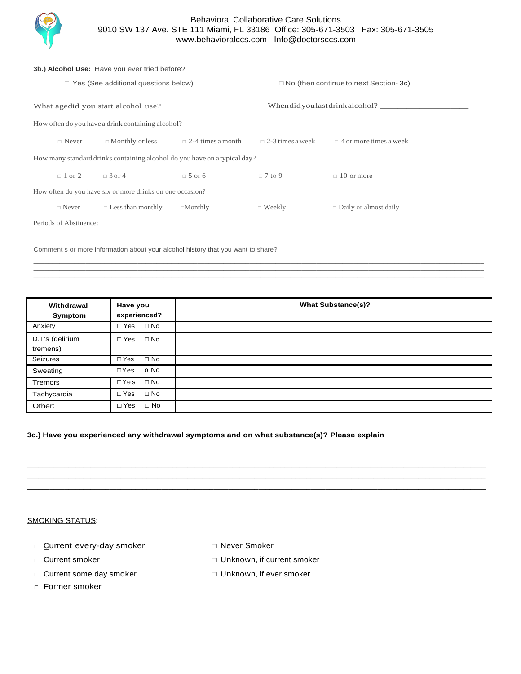

|  | 3b.) Alcohol Use: Have you ever tried before?             |                                                                           |                |                                              |                                                       |  |  |  |  |
|--|-----------------------------------------------------------|---------------------------------------------------------------------------|----------------|----------------------------------------------|-------------------------------------------------------|--|--|--|--|
|  |                                                           | $\Box$ Yes (See additional questions below)                               |                | $\Box$ No (then continue to next Section-3c) |                                                       |  |  |  |  |
|  |                                                           | What agedid you start alcohol use?                                        |                |                                              | When did you last drink alcohol?                      |  |  |  |  |
|  |                                                           | How often do you have a drink containing alcohol?                         |                |                                              |                                                       |  |  |  |  |
|  | $\Box$ Never                                              | $\Box$ Monthly or less $\Box$ 2-4 times a month                           |                |                                              | $\Box$ 2-3 times a week $\Box$ 4 or more times a week |  |  |  |  |
|  |                                                           | How many standard drinks containing alcohol do you have on a typical day? |                |                                              |                                                       |  |  |  |  |
|  | $\Box$ 1 or 2 $\Box$ 3 or 4                               |                                                                           | $\Box$ 5 or 6  | $\Box$ 7 to 9                                | $\Box$ 10 or more                                     |  |  |  |  |
|  | How often do you have six or more drinks on one occasion? |                                                                           |                |                                              |                                                       |  |  |  |  |
|  | $\Box$ Never                                              | $\Box$ Less than monthly                                                  | $\Box$ Monthly | $\Box$ Weekly                                | $\Box$ Daily or almost daily                          |  |  |  |  |
|  |                                                           |                                                                           |                |                                              |                                                       |  |  |  |  |

Comment s or more information about your alcohol history that you want to share?

| Withdrawal<br>Symptom       | Have you<br>experienced?   | <b>What Substance(s)?</b> |
|-----------------------------|----------------------------|---------------------------|
| Anxiety                     | □ Yes □ No                 |                           |
| D.T's (delirium<br>tremens) | $\Box$ Yes $\Box$ No       |                           |
| Seizures                    | $\square$ No<br>$\Box$ Yes |                           |
| Sweating                    | $\Box Y$ es o No           |                           |
| <b>Tremors</b>              | ⊡Yes ⊡No                   |                           |
| Tachycardia                 | $\Box$ Yes $\Box$ No       |                           |
| Other:                      | $\square$ No<br>$\Box$ Yes |                           |

 $\_$  ,  $\_$  ,  $\_$  ,  $\_$  ,  $\_$  ,  $\_$  ,  $\_$  ,  $\_$  ,  $\_$  ,  $\_$  ,  $\_$  ,  $\_$  ,  $\_$  ,  $\_$  ,  $\_$  ,  $\_$  ,  $\_$  ,  $\_$  ,  $\_$  ,  $\_$  ,  $\_$  ,  $\_$  ,  $\_$  ,  $\_$  ,  $\_$  ,  $\_$  ,  $\_$  ,  $\_$  ,  $\_$  ,  $\_$  ,  $\_$  ,  $\_$  ,  $\_$  ,  $\_$  ,  $\_$  ,  $\_$  ,  $\_$  ,  $\_$  ,  $\_$  ,  $\_$  ,  $\_$  ,  $\_$  ,  $\_$  ,  $\_$  ,  $\_$  ,  $\_$  ,  $\_$  ,  $\_$  ,  $\_$  ,  $\_$  ,  $\_$  ,  $\_$  ,  $\_$  ,  $\_$  ,  $\_$  ,  $\_$  ,  $\_$  ,  $\_$  ,  $\_$  ,  $\_$  ,  $\_$  ,  $\_$  ,  $\_$  ,  $\_$  ,  $\_$  ,  $\_$  ,  $\_$  ,  $\_$  ,  $\_$  ,  $\_$  ,  $\_$  ,  $\_$  ,  $\_$  ,  $\_$  ,  $\_$  ,  $\_$  ,  $\_$  ,  $\_$  ,  $\_$  ,  $\_$  ,  $\_$  ,  $\_$  ,  $\_$  ,  $\_$  ,  $\_$  ,  $\_$  ,  $\_$  ,  $\_$  ,  $\_$  ,  $\_$  ,  $\_$  ,  $\_$  ,  $\_$  ,  $\_$  ,  $\_$  ,  $\_$  ,  $\_$  ,  $\_$  ,  $\_$  ,  $\_$  ,  $\_$  ,  $\_$  ,  $\_$  ,  $\_$  ,  $\_$  ,  $\_$  ,  $\_$  ,  $\_$  ,  $\_$  ,  $\_$  ,  $\_$  ,

\_\_\_\_\_\_\_\_\_\_\_\_\_\_\_\_\_\_\_\_\_\_\_\_\_\_\_\_\_\_\_\_\_\_\_\_\_\_\_\_\_\_\_\_\_\_\_\_\_\_\_\_\_\_\_\_\_\_\_\_\_\_\_\_\_\_\_\_\_\_\_\_\_\_\_\_\_\_\_\_\_\_\_\_\_\_\_\_\_\_\_\_\_\_\_\_\_\_\_\_\_\_\_\_\_\_\_\_\_\_\_\_\_\_\_\_\_\_\_\_\_\_\_ \_\_\_\_\_\_\_\_\_\_\_\_\_\_\_\_\_\_\_\_\_\_\_\_\_\_\_\_\_\_\_\_\_\_\_\_\_\_\_\_\_\_\_\_\_\_\_\_\_\_\_\_\_\_\_\_\_\_\_\_\_\_\_\_\_\_\_\_\_\_\_\_\_\_\_\_\_\_\_\_\_\_\_\_\_\_\_\_\_\_\_\_\_\_\_\_\_\_\_\_\_\_\_\_\_\_\_\_\_\_\_\_\_\_\_\_\_\_\_\_\_\_\_ \_\_\_\_\_\_\_\_\_\_\_\_\_\_\_\_\_\_\_\_\_\_\_\_\_\_\_\_\_\_\_\_\_\_\_\_\_\_\_\_\_\_\_\_\_\_\_\_\_\_\_\_\_\_\_\_\_\_\_\_\_\_\_\_\_\_\_\_\_\_\_\_\_\_\_\_\_\_\_\_\_\_\_\_\_\_\_\_\_\_\_\_\_\_\_\_\_\_\_\_\_\_\_\_\_\_\_\_\_\_\_\_\_\_\_\_\_\_\_\_\_\_\_ \_\_\_\_\_\_\_\_\_\_\_\_\_\_\_\_\_\_\_\_\_\_\_\_\_\_\_\_\_\_\_\_\_\_\_\_\_\_\_\_\_\_\_\_\_\_\_\_\_\_\_\_\_\_\_\_\_\_\_\_\_\_\_\_\_\_\_\_\_\_\_\_\_\_\_\_\_\_\_\_\_\_\_\_\_\_\_\_\_\_\_\_\_\_\_\_\_\_\_\_\_\_\_\_\_\_\_\_\_\_\_\_\_\_\_\_\_\_\_\_\_\_\_

### **3c.) Have you experienced any withdrawal symptoms and on what substance(s)? Please explain**

### SMOKING STATUS:

- □ Current every-day smoker □ □ Never Smoker
- 
- 
- □ Former smoker
- 
- □ Current smoker □ □ Unknown, if current smoker
- □ Current some day smoker □ □ Unknown, if ever smoker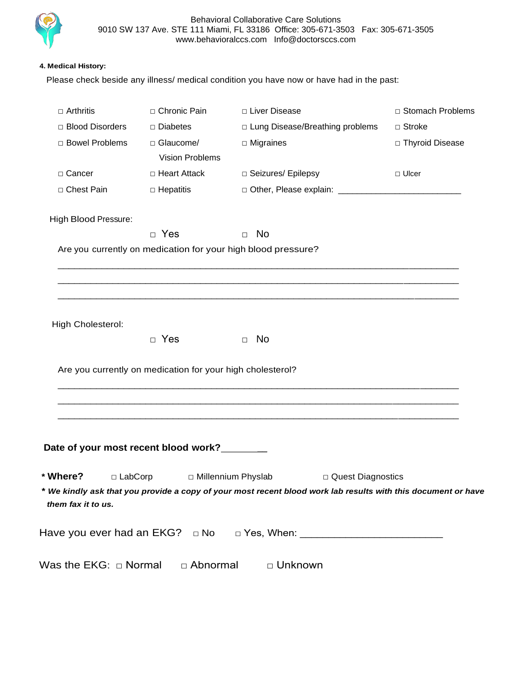

### **4. Medical History:**

Please check beside any illness/ medical condition you have now or have had in the past:

| $\Box$ Arthritis                       | □ Chronic Pain                                             | □ Liver Disease                                                                                                       | □ Stomach Problems |
|----------------------------------------|------------------------------------------------------------|-----------------------------------------------------------------------------------------------------------------------|--------------------|
| □ Blood Disorders                      | □ Diabetes                                                 | □ Lung Disease/Breathing problems                                                                                     | $\Box$ Stroke      |
| □ Bowel Problems                       | □ Glaucome/<br><b>Vision Problems</b>                      | $\Box$ Migraines                                                                                                      | □ Thyroid Disease  |
| □ Cancer                               | □ Heart Attack                                             | □ Seizures/ Epilepsy                                                                                                  | $\Box$ Ulcer       |
| □ Chest Pain                           | $\Box$ Hepatitis                                           |                                                                                                                       |                    |
| High Blood Pressure:                   |                                                            |                                                                                                                       |                    |
|                                        | $\Box$ Yes                                                 | $\Box$ No                                                                                                             |                    |
|                                        |                                                            | Are you currently on medication for your high blood pressure?                                                         |                    |
|                                        |                                                            | <u> 1980 - John Stoff, deutscher Stoff, der Stoff, der Stoff, der Stoff, der Stoff, der Stoff, der Stoff, der Sto</u> |                    |
|                                        |                                                            |                                                                                                                       |                    |
| High Cholesterol:                      |                                                            |                                                                                                                       |                    |
|                                        | $\Box$ Yes                                                 | $\Box$ No                                                                                                             |                    |
|                                        |                                                            |                                                                                                                       |                    |
|                                        | Are you currently on medication for your high cholesterol? |                                                                                                                       |                    |
|                                        |                                                            |                                                                                                                       |                    |
|                                        |                                                            |                                                                                                                       |                    |
|                                        |                                                            |                                                                                                                       |                    |
|                                        |                                                            |                                                                                                                       |                    |
| Date of your most recent blood work?   |                                                            |                                                                                                                       |                    |
| * Where?<br>$\Box$ LabCorp             |                                                            | □ Millennium Physlab<br>□ Quest Diagnostics                                                                           |                    |
| them fax it to us.                     |                                                            | * We kindly ask that you provide a copy of your most recent blood work lab results with this document or have         |                    |
| Have you ever had an $EKG? \square$ No |                                                            |                                                                                                                       |                    |
| Was the EKG: $\Box$ Normal             |                                                            |                                                                                                                       |                    |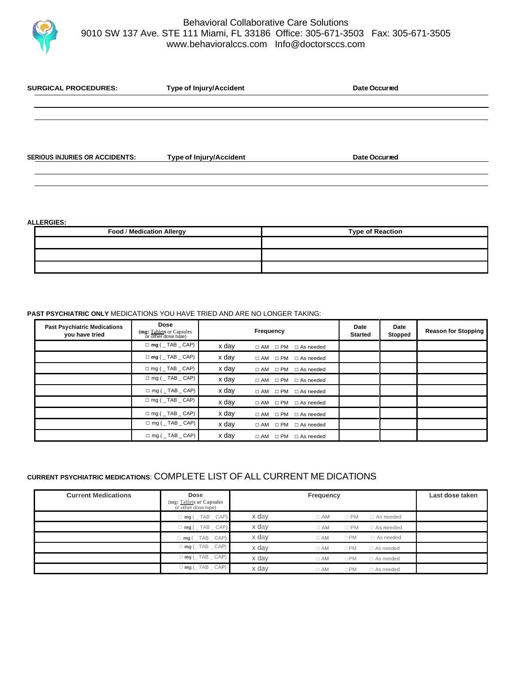

| <b>SERIOUS INJURIES OR ACCIDENTS:</b> | <b>Type of Injury/Accident</b> | Date Occurred |  |
|---------------------------------------|--------------------------------|---------------|--|

**SURGICAL PROCEDURES: Type of Injury/Accident Date Occurred**

#### **ALLERGIES:**

| Food / Medication Allergy | <b>Type of Reaction</b> |  |  |  |
|---------------------------|-------------------------|--|--|--|
|                           |                         |  |  |  |
|                           |                         |  |  |  |
|                           |                         |  |  |  |

### **PAST PSYCHIATRIC ONLY** MEDICATIONS YOU HAVE TRIED AND ARE NO LONGER TAKING:

| <b>Past Psychiatric Medications</b><br>you have tried | <b>Dose</b><br>(mg: Tablets or Capsules<br>or other dose type) |       | Frequency                            | Date<br><b>Started</b> | Date<br>Stopped | <b>Reason for Stopping</b> |
|-------------------------------------------------------|----------------------------------------------------------------|-------|--------------------------------------|------------------------|-----------------|----------------------------|
|                                                       | $\Box$ mg (TAB CAP)                                            | x day | $\Box$ AM $\Box$ PM $\Box$ As needed |                        |                 |                            |
|                                                       | $\Box$ mg ( $\Box$ TAB $\Box$ CAP)                             | x day | $\Box$ AM $\Box$ PM $\Box$ As needed |                        |                 |                            |
|                                                       | $\Box$ mg ( $\Box$ TAB $\Box$ CAP)                             | x day | □ AM □ PM □ As needed                |                        |                 |                            |
|                                                       | $\Box$ mg (TAB CAP)                                            | x day | $\Box$ AM $\Box$ PM<br>□ As needed   |                        |                 |                            |
|                                                       | $\Box$ mg ( $\Box$ TAB $\Box$ CAP)                             | x day | $\Box$ AM $\Box$ PM<br>□ As needed   |                        |                 |                            |
|                                                       | $\Box$ mg (TAB CAP)                                            | x day | $\Box$ AM $\Box$ PM $\Box$ As needed |                        |                 |                            |
|                                                       | $\Box$ mg ( $\_$ TAB $\_$ CAP)                                 | x day | $\Box$ AM $\Box$ PM<br>□ As needed   |                        |                 |                            |
|                                                       | $\Box$ mg ( $\Box$ TAB $\Box$ CAP)                             | x day | □ AM □ PM □ As needed                |                        |                 |                            |
|                                                       | $\Box$ mg ( $\Box$ TAB $\Box$ CAP)                             | x day | $\Box$ AM $\Box$ PM<br>□ As needed   |                        |                 |                            |

### **CURRENT PSYCHIATRIC MEDICATIONS**: COMPLETE LIST OF ALL CURRENT ME DICATIONS

| <b>Current Medications</b> | Dose<br>(mg: Tablets or Capsules<br>or other dose type) | Frequency |           |              | Last dose taken  |  |
|----------------------------|---------------------------------------------------------|-----------|-----------|--------------|------------------|--|
|                            | $\Box$ mg ( $\_$ TAB $\_$ CAP)                          | x day     | $\Box$ AM | $\Box$ PM    | $\Box$ As needed |  |
|                            | $\Box$ mg ( $\_$ TAB $\_$ CAP)                          | x day     | $\Box$ AM | $\Box$ PM    | □ As needed      |  |
|                            | $\Box$ mg ( $\_$ TAB $\_$ CAP)                          | x day     | $\Box$ AM | $\square$ PM | □ As needed      |  |
|                            | $D \text{mg}$ ( $TAB$ $CAP$ )                           | x day     | $\Box$ AM | $\square$ PM | $\Box$ As needed |  |
|                            | $D$ mg ( $TAB$ $CAP$ )                                  | x day     | $\Box$ AM | $\square$ PM | $\Box$ As needed |  |
|                            | $D$ mg ( $TAB$ $CAP$ )                                  | x dav     | $\Box$ AM | $\square$ PM | $\Box$ As needed |  |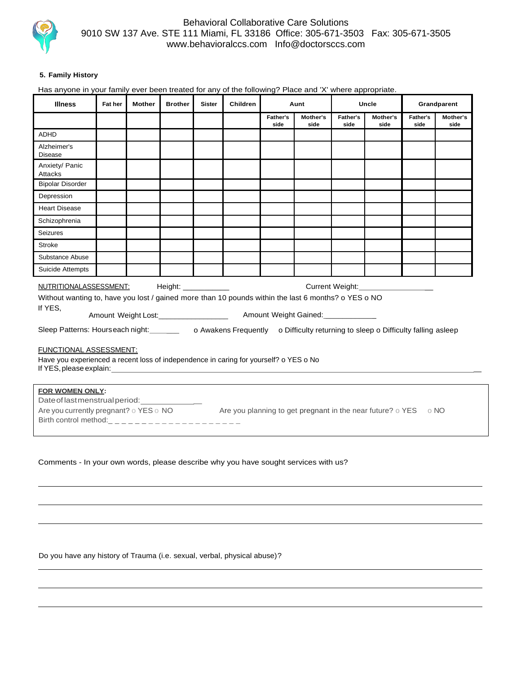

### **5. Family History**

Has anyone in your family ever been treated for any of the following? Place and 'X' where appropriate.

| <b>Illness</b>                                                                                                                                                                                                                                                                                                                                                                                                                                                                                                                                                                                                                                                                                      | Fat her | <b>Mother</b> | <b>Brother</b> | <b>Sister</b> | Children | Aunt             |                  | Uncle            |                  | Grandparent      |                  |
|-----------------------------------------------------------------------------------------------------------------------------------------------------------------------------------------------------------------------------------------------------------------------------------------------------------------------------------------------------------------------------------------------------------------------------------------------------------------------------------------------------------------------------------------------------------------------------------------------------------------------------------------------------------------------------------------------------|---------|---------------|----------------|---------------|----------|------------------|------------------|------------------|------------------|------------------|------------------|
|                                                                                                                                                                                                                                                                                                                                                                                                                                                                                                                                                                                                                                                                                                     |         |               |                |               |          | Father's<br>side | Mother's<br>side | Father's<br>side | Mother's<br>side | Father's<br>side | Mother's<br>side |
| ADHD                                                                                                                                                                                                                                                                                                                                                                                                                                                                                                                                                                                                                                                                                                |         |               |                |               |          |                  |                  |                  |                  |                  |                  |
| Alzheimer's<br><b>Disease</b>                                                                                                                                                                                                                                                                                                                                                                                                                                                                                                                                                                                                                                                                       |         |               |                |               |          |                  |                  |                  |                  |                  |                  |
| Anxiety/ Panic<br>Attacks                                                                                                                                                                                                                                                                                                                                                                                                                                                                                                                                                                                                                                                                           |         |               |                |               |          |                  |                  |                  |                  |                  |                  |
| <b>Bipolar Disorder</b>                                                                                                                                                                                                                                                                                                                                                                                                                                                                                                                                                                                                                                                                             |         |               |                |               |          |                  |                  |                  |                  |                  |                  |
| Depression                                                                                                                                                                                                                                                                                                                                                                                                                                                                                                                                                                                                                                                                                          |         |               |                |               |          |                  |                  |                  |                  |                  |                  |
| <b>Heart Disease</b>                                                                                                                                                                                                                                                                                                                                                                                                                                                                                                                                                                                                                                                                                |         |               |                |               |          |                  |                  |                  |                  |                  |                  |
| Schizophrenia                                                                                                                                                                                                                                                                                                                                                                                                                                                                                                                                                                                                                                                                                       |         |               |                |               |          |                  |                  |                  |                  |                  |                  |
| <b>Seizures</b>                                                                                                                                                                                                                                                                                                                                                                                                                                                                                                                                                                                                                                                                                     |         |               |                |               |          |                  |                  |                  |                  |                  |                  |
| <b>Stroke</b>                                                                                                                                                                                                                                                                                                                                                                                                                                                                                                                                                                                                                                                                                       |         |               |                |               |          |                  |                  |                  |                  |                  |                  |
| Substance Abuse                                                                                                                                                                                                                                                                                                                                                                                                                                                                                                                                                                                                                                                                                     |         |               |                |               |          |                  |                  |                  |                  |                  |                  |
| Suicide Attempts                                                                                                                                                                                                                                                                                                                                                                                                                                                                                                                                                                                                                                                                                    |         |               |                |               |          |                  |                  |                  |                  |                  |                  |
| NUTRITIONALASSESSMENT:<br>Height: _____________<br>Current Weight: Network of Current Weight:<br>Without wanting to, have you lost / gained more than 10 pounds within the last 6 months? o YES o NO<br>If YES,<br>Sleep Patterns: Hourseach night: _________ o Awakens Frequently o Difficulty returning to sleep o Difficulty falling asleep<br>FUNCTIONAL ASSESSMENT:<br>Have you experienced a recent loss of independence in caring for yourself? o YES o No<br>If YES, please explain: The contract of the contract of the contract of the contract of the contract of the contract of the contract of the contract of the contract of the contract of the contract of the contract of the co |         |               |                |               |          |                  |                  |                  |                  |                  |                  |
| <b>FOR WOMEN ONLY:</b><br>Date of last menstrual period: _______________<br>Are you currently pregnant? o YES o NO Are you planning to get pregnant in the near future? o YES o NO                                                                                                                                                                                                                                                                                                                                                                                                                                                                                                                  |         |               |                |               |          |                  |                  |                  |                  |                  |                  |

Comments - In your own words, please describe why you have sought services with us?

Do you have any history of Trauma (i.e. sexual, verbal, physical abuse)?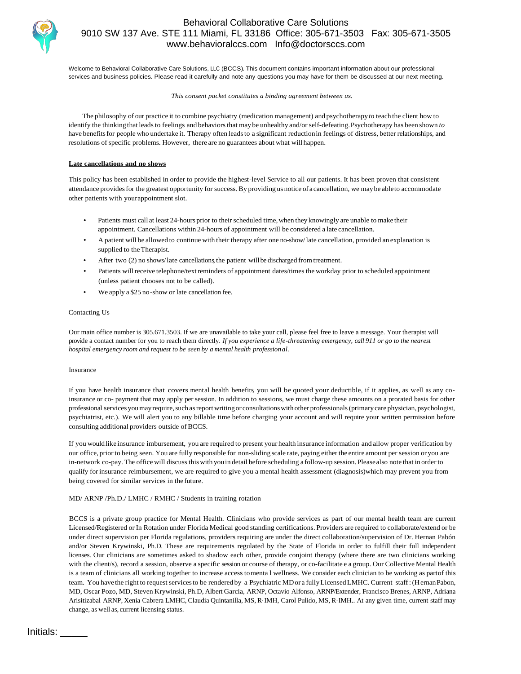

Welcome to Behavioral Collaborative Care Solutions, LLC (BCCS). This document contains important information about our professional services and business policies. Please read it carefully and note any questions you may have for them be discussed at our next meeting.

#### *This consent packet constitutes a binding agreement between us.*

The philosophy of our practice it to combine psychiatry (medication management) and psychotherapy*to* teach the client how to identify the thinking that leads to feelings and behaviors that may be unhealthy and/or self-defeating. Psychotherapy has been shown *to* have benefits for people who undertake it. Therapy often leads to a significant reduction in feelings of distress, better relationships, and resolutions of specific problems. However, there are no guarantees about what will happen.

#### **Late cancellations and no shows**

This policy has been established in order to provide the highest-level Service to all our patients. It has been proven that consistent attendance providesfor the greatest opportunity for success. By providing us notice of a cancellation, we maybe ableto accommodate other patients with yourappointment slot.

- Patients must call at least 24-hours prior to their scheduled time, when they knowingly are unable to make their appointment. Cancellations within 24-hours of appointment will be considered a late cancellation.
- A patient will be allowed to continue with their therapy after one no-show/ late cancellation, provided an explanation is supplied to the Therapist.
- After two (2) no shows/late cancellations, the patient will be discharged fromtreatment.
- Patients will receive telephone/textreminders of appointment dates/times the workday prior to scheduled appointment (unless patient chooses not to be called).
- We apply a \$25 no-show or late cancellation fee.

#### Contacting Us

Our main office number is 305.671.3503. If we are unavailable to take your call, please feel free to leave a message. Your therapist will provide a contact number for you to reach them directly. *If you experience a life-threatening emergency, call 911 or go to the nearest hospital emergency room and request to be seen by a mental health professional.*

#### Insurance

If you have health insurance that covers mental health benefits, you will be quoted your deductible, if it applies, as well as any coinsurance or co- payment that may apply per session. In addition to sessions, we must charge these amounts on a prorated basis for other professional services youmayrequire,such asreport writingor consultationswithother professionals(primarycare physician, psychologist, psychiatrist, etc.). We will alert you to any billable time before charging your account and will require your written permission before consulting additional providers outside ofBCCS.

If you wouldlike insurance imbursement, you are required to present your health insurance information and allow proper verification by our office, prior to being seen. You are fully responsible for non-sliding scale rate, paying either the entire amount per session or you are in-network co-pay. The office will discuss this with you in detail before scheduling a follow-up session. Please also note that in order to qualify for insurance reimbursement, we are required to give you a mental health assessment (diagnosis)which may prevent you from being covered for similar services in the future.

#### MD/ ARNP /Ph.D./ LMHC / RMHC / Students in training rotation

BCCS is a private group practice for Mental Health. Clinicians who provide services as part of our mental health team are current Licensed/Registered or In Rotation under Florida Medical good standing certifications. Providers are required to collaborate/extend or be under direct supervision per Florida regulations, providers requiring are under the direct collaboration/supervision of Dr. Hernan Pabón and/or Steven Krywinski, Ph.D. These are requirements regulated by the State of Florida in order to fulfill their full independent licenses. Our clinicians are sometimes asked to shadow each other, provide conjoint therapy (where there are two clinicians working with the client/s), record a session, observe a specific session or course of therapy, or co-facilitate e a group. Our Collective Mental Health is a team of clinicians all working together to increase access tomenta l wellness. We consider each clinician to be working as partof this team. You have the right to request servicesto be rendered by a Psychiatric MDor a fullyLicensedLMHC. Current staff:(HernanPabon, MD, Oscar Pozo, MD, Steven Krywinski, Ph.D, Albert Garcia, ARNP, Octavio Alfonso, ARNP/Extender, Francisco Brenes, ARNP, Adriana Arisitizabal ARNP, Xenia Cabrera LMHC, Claudia Quintanilla, MS, R·IMH, Carol Pulido, MS, R-IMH.. At any given time, current staff may change, as well as, current licensing status.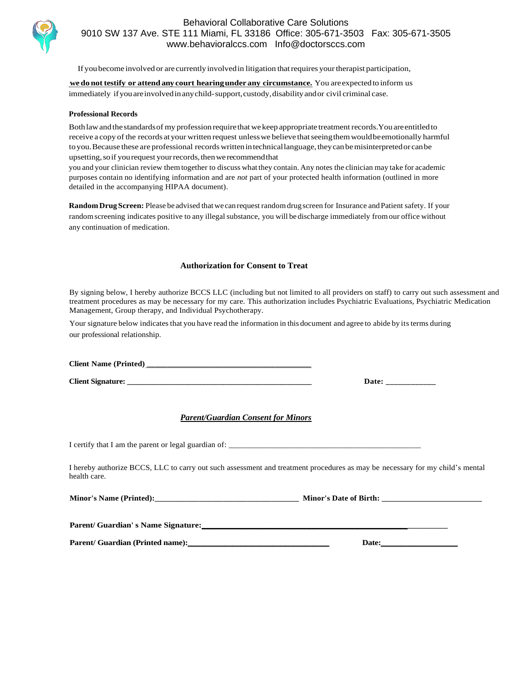

If youbecome involved or are currently involvedin litigation thatrequires yourtherapist participation,

**we do not testify or attend anycourt hearingunder any circumstance.** You areexpectedto inform us immediately ifyouareinvolvedinanychild-support,custody,disabilityandor civil criminal case.

#### **Professional Records**

Both law and the standards of my profession require that we keep appropriate treatment records. You are entitled to receive a copy of the records at your written request unless we believe that seeing them would beemotionally harmful to you. Because these are professional records written in technical language, they can be misinterpreted or can be upsetting,soif yourequest yourrecords,thenwe recommendthat

you and your clinician review themtogether to discuss what they contain. Any notes the clinician may take for academic purposes contain no identifying information and are *not* part of your protected health information (outlined in more detailed in the accompanying HIPAA document).

Random Drug Screen: Please beadvised that we can request random drug screen for Insurance and Patient safety. If your random screening indicates positive to any illegal substance, you will be discharge immediately from our office without any continuation of medication.

### **Authorization for Consent to Treat**

By signing below, I hereby authorize BCCS LLC (including but not limited to all providers on staff) to carry out such assessment and treatment procedures as may be necessary for my care. This authorization includes Psychiatric Evaluations, Psychiatric Medication Management, Group therapy, and Individual Psychotherapy.

Your signature below indicates that you have read the information in this document and agree to abide by its terms during our professional relationship.

**Client Name (Printed) \_\_\_\_\_\_\_\_\_\_\_\_\_\_\_\_\_\_\_\_\_\_\_\_\_\_\_\_\_\_\_\_\_\_\_\_\_\_\_\_\_** 

**Client Signature:**  $\qquad \qquad$  **Date:**  $\qquad \qquad$ 

### *Parent/Guardian Consent for Minors*

I certify that I am the parent or legal guardian of: \_\_\_\_\_\_\_\_\_\_\_\_\_\_\_\_\_\_\_\_\_\_\_\_\_\_\_\_

I hereby authorize BCCS, LLC to carry out such assessment and treatment procedures as may be necessary for my child's mental health care.

| <b>Minor's Name (Printed):</b> | <b>Minor's Date of Birth:</b> |
|--------------------------------|-------------------------------|
|--------------------------------|-------------------------------|

Parent/ Guardian' s Name Signature:

**Parent/ Guardian (Printed name):\_\_\_\_\_\_\_\_\_\_\_\_\_\_\_\_\_\_\_\_\_\_\_\_\_\_\_\_\_\_\_\_\_\_\_ Date:\_\_\_\_\_\_\_\_\_\_\_\_\_\_\_\_\_\_\_**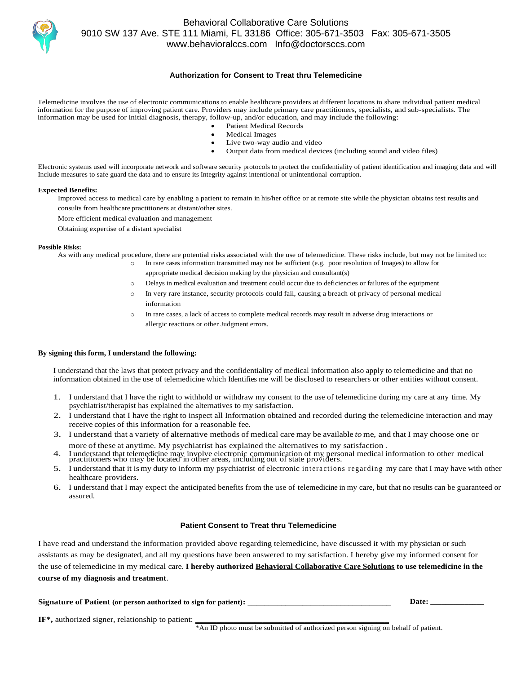

### **Authorization for Consent to Treat thru Telemedicine**

Telemedicine involves the use of electronic communications to enable healthcare providers at different locations to share individual patient medical information for the purpose of improving patient care. Providers may include primary care practitioners, specialists, and sub-specialists. The information may be used for initial diagnosis, therapy, follow-up, and/or education, and may include the following:

- Patient Medical Records Medical Images
- Live two-way audio and video
- Output data from medical devices (including sound and video files)

Electronic systems used will incorporate network and software security protocols to protect the confidentiality of patient identification and imaging data and will Include measures to safe guard the data and to ensure its Integrity against intentional or unintentional corruption.

#### **Expected Benefits:**

Improved access to medical care by enabling a patient to remain in his/her office or at remote site while the physician obtains test results and consults from healthcare practitioners at distant/other sites.

More efficient medical evaluation and management

Obtaining expertise of a distant specialist

#### **Possible Risks:**

As with any medical procedure, there are potential risks associated with the use of telemedicine. These risks include, but may not be limited to:

- o In rare cases information transmitted may not be sufficient (e.g. poor resolution of Images) to allow for
	- appropriate medical decision making by the physician and consultant(s)
	- o Delays in medical evaluation and treatment could occur due to deficiencies or failures of the equipment
	- o In very rare instance, security protocols could fail, causing a breach of privacy of personal medical information
	- o In rare cases, a lack of access to complete medical records may result in adverse drug interactions or allergic reactions or other Judgment errors.

#### **By signing this form, I understand the following:**

I understand that the laws that protect privacy and the confidentiality of medical information also apply to telemedicine and that no information obtained in the use of telemedicine which Identifies me will be disclosed to researchers or other entities without consent.

- 1. I understand that I have the right to withhold or withdraw my consent to the use of telemedicine during my care at any time. My psychiatrist/therapist has explained the alternatives to my satisfaction.
- 2. I understand that I have the right to inspect all Information obtained and recorded during the telemedicine interaction and may receive copies of this information for a reasonable fee.
- 3. I understand that a variety of alternative methods of medical care may be available *to* me, and that I may choose one or more of these at anytime. My psychiatrist has explained the alternatives to my satisfaction .
- 4. I understand that telemedicine may involve electronic communication of my personal medical information to other medical practitioners who may be located in other areas, including out of state providers.
- 5. I understand that it is my duty to inform my psychiatrist of electronic intera ction s reg ardin g my care that I may have with other healthcare providers.
- 6. I understand that I may expect the anticipated benefits from the use of telemedicine in my care, but that no results can be guaranteed or assured.

#### **Patient Consent to Treat thru Telemedicine**

I have read and understand the information provided above regarding telemedicine, have discussed it with my physician or such assistants as may be designated, and all my questions have been answered to my satisfaction. I hereby give my informed consent for the use of telemedicine in my medical care. **I hereby authorized Behavioral Collaborative Care Solutions to use telemedicine in the course of my diagnosis and treatment**.

**Signature of Patient (or person authorized to sign for patient): \_\_\_\_\_\_\_\_\_\_\_\_\_\_\_\_\_\_\_\_\_\_\_\_\_\_\_\_\_\_\_\_\_\_ Date: \_\_\_\_\_\_\_\_\_\_\_\_\_\_**

**IF**\*, authorized signer, relationship to patient:

\*An ID photo must be submitted of authorized person signing on behalf of patient.